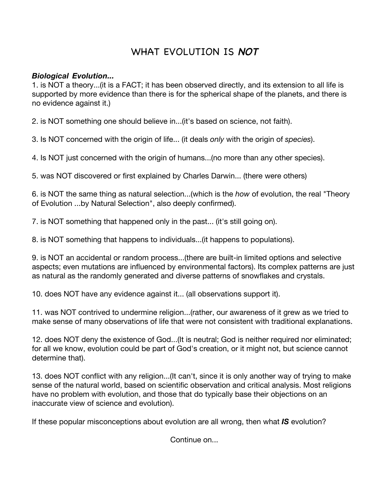## WHAT EVOLUTION IS NOT

## *Biological Evolution...*

1. is NOT a theory...(it is a FACT; it has been observed directly, and its extension to all life is supported by more evidence than there is for the spherical shape of the planets, and there is no evidence against it.)

2. is NOT something one should believe in...(it's based on science, not faith).

3. Is NOT concerned with the origin of life... (it deals *only* with the origin of *species*).

4. Is NOT just concerned with the origin of humans...(no more than any other species).

5. was NOT discovered or first explained by Charles Darwin... (there were others)

6. is NOT the same thing as natural selection...(which is the *how* of evolution, the real "Theory of Evolution ...by Natural Selection", also deeply confirmed).

7. is NOT something that happened only in the past... (it's still going on).

8. is NOT something that happens to individuals...(it happens to populations).

9. is NOT an accidental or random process...(there are built-in limited options and selective aspects; even mutations are influenced by environmental factors). Its complex patterns are just as natural as the randomly generated and diverse patterns of snowflakes and crystals.

10. does NOT have any evidence against it... (all observations support it).

11. was NOT contrived to undermine religion...(rather, our awareness of it grew as we tried to make sense of many observations of life that were not consistent with traditional explanations.

12. does NOT deny the existence of God...(It is neutral; God is neither required nor eliminated; for all we know, evolution could be part of God's creation, or it might not, but science cannot determine that).

13. does NOT conflict with any religion...(It can't, since it is only another way of trying to make sense of the natural world, based on scientific observation and critical analysis. Most religions have no problem with evolution, and those that do typically base their objections on an inaccurate view of science and evolution).

If these popular misconceptions about evolution are all wrong, then what *IS* evolution?

Continue on...